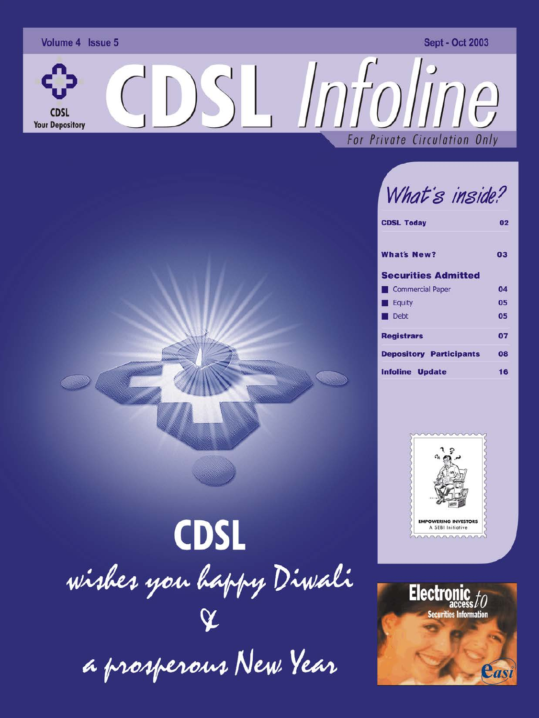

What's inside?

| <b>CDSL Today</b>              | 02 |  |  |
|--------------------------------|----|--|--|
| <b>What's New?</b>             | 03 |  |  |
| <b>Securities Admitted</b>     |    |  |  |
| Commercial Paper               | 04 |  |  |
| <b>Equity</b>                  | 05 |  |  |
| Debt                           | 05 |  |  |
| <b>Registrars</b>              | 07 |  |  |
| <b>Depository Participants</b> | 08 |  |  |
| <b>Infoline Update</b>         | 16 |  |  |





**CDSL** wishes you happy Diwali a prosperous New Year

 $\rightarrow$   $\rightarrow$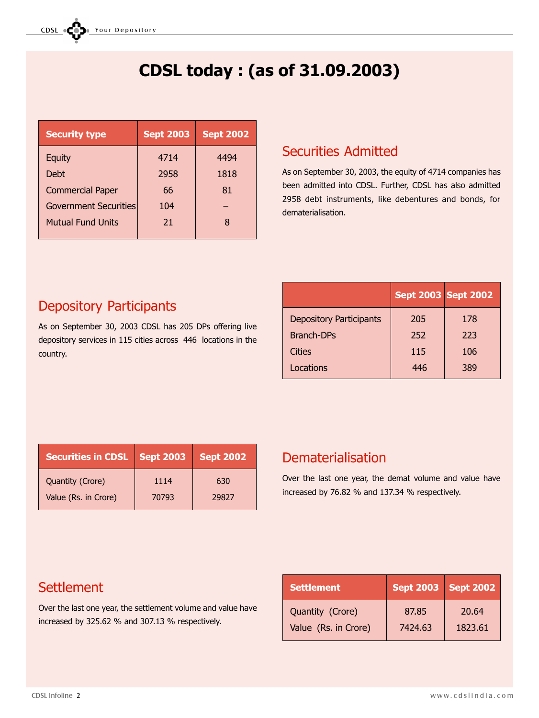# CDSL today : (as of 31.09.2003)

| <b>Security type</b>         | <b>Sept 2003</b> | <b>Sept 2002</b> |
|------------------------------|------------------|------------------|
| Equity                       | 4714             | 4494             |
| <b>Debt</b>                  | 2958             | 1818             |
| <b>Commercial Paper</b>      | 66               | 81               |
| <b>Government Securities</b> | 104              |                  |
| <b>Mutual Fund Units</b>     | 21               | 8                |
|                              |                  |                  |

## Securities Admitted

As on September 30, 2003, the equity of 4714 companies has been admitted into CDSL. Further, CDSL has also admitted 2958 debt instruments, like debentures and bonds, for dematerialisation.

## Depository Participants

As on September 30, 2003 CDSL has 205 DPs offering live depository services in 115 cities across 446 locations in the country.

|                                | <b>Sept 2003 Sept 2002</b> |     |
|--------------------------------|----------------------------|-----|
| <b>Depository Participants</b> | 205                        | 178 |
| <b>Branch-DPs</b>              | 252                        | 223 |
| Cities                         | 115                        | 106 |
| Locations                      | 446                        | 389 |

| <b>Securities in CDSL   Sept 2003</b> |       | <b>Sept 2002</b> |
|---------------------------------------|-------|------------------|
| Quantity (Crore)                      | 1114  | 630              |
| Value (Rs. in Crore)                  | 70793 | 29827            |

## Dematerialisation

Over the last one year, the demat volume and value have increased by 76.82 % and 137.34 % respectively.

## **Settlement**

Over the last one year, the settlement volume and value have increased by 325.62 % and 307.13 % respectively.

| <b>Settlement</b>    |         | <b>Sept 2003</b> Sept 2002 |
|----------------------|---------|----------------------------|
| Quantity (Crore)     | 87.85   | 20.64                      |
| Value (Rs. in Crore) | 7424.63 | 1823.61                    |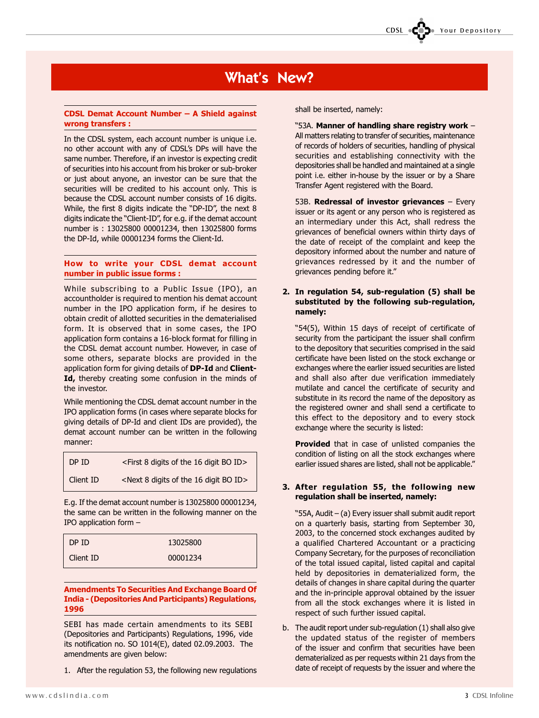## What's New?

#### CDSL Demat Account Number A Shield against wrong transfers :

In the CDSL system, each account number is unique i.e. no other account with any of CDSL's DPs will have the same number. Therefore, if an investor is expecting credit of securities into his account from his broker or sub-broker or just about anyone, an investor can be sure that the securities will be credited to his account only. This is because the CDSL account number consists of 16 digits. While, the first 8 digits indicate the "DP-ID", the next 8 digits indicate the "Client-ID", for e.g. if the demat account number is : 13025800 00001234, then 13025800 forms the DP-Id, while 00001234 forms the Client-Id.

#### How to write your CDSL demat account number in public issue forms :

While subscribing to a Public Issue (IPO), an accountholder is required to mention his demat account number in the IPO application form, if he desires to obtain credit of allotted securities in the dematerialised form. It is observed that in some cases, the IPO application form contains a 16-block format for filling in the CDSL demat account number. However, in case of some others, separate blocks are provided in the application form for giving details of DP-Id and Client-Id, thereby creating some confusion in the minds of the investor.

While mentioning the CDSL demat account number in the IPO application forms (in cases where separate blocks for giving details of DP-Id and client IDs are provided), the demat account number can be written in the following manner:

| DP ID.    | $\le$ First 8 digits of the 16 digit BO ID $>$                       |
|-----------|----------------------------------------------------------------------|
| Client ID | <next 16="" 8="" bo="" digit="" digits="" id="" of="" the=""></next> |

E.g. If the demat account number is 13025800 00001234, the same can be written in the following manner on the IPO application form  $-$ 

| DP ID.    | 13025800 |
|-----------|----------|
| Client ID | 00001234 |

Amendments To Securities And Exchange Board Of India - (Depositories And Participants) Regulations, 1996

SEBI has made certain amendments to its SEBI (Depositories and Participants) Regulations, 1996, vide its notification no. SO 1014(E), dated 02.09.2003. The amendments are given below:

1. After the regulation 53, the following new regulations

shall be inserted, namely:

"53A. Manner of handling share registry work -All matters relating to transfer of securities, maintenance of records of holders of securities, handling of physical securities and establishing connectivity with the depositories shall be handled and maintained at a single point i.e. either in-house by the issuer or by a Share Transfer Agent registered with the Board.

CDSL **COD** Your Depository

53B. Redressal of investor grievances  $-$  Every issuer or its agent or any person who is registered as an intermediary under this Act, shall redress the grievances of beneficial owners within thirty days of the date of receipt of the complaint and keep the depository informed about the number and nature of grievances redressed by it and the number of grievances pending before it.

#### 2. In regulation 54, sub-regulation (5) shall be substituted by the following sub-regulation, namely:

54(5), Within 15 days of receipt of certificate of security from the participant the issuer shall confirm to the depository that securities comprised in the said certificate have been listed on the stock exchange or exchanges where the earlier issued securities are listed and shall also after due verification immediately mutilate and cancel the certificate of security and substitute in its record the name of the depository as the registered owner and shall send a certificate to this effect to the depository and to every stock exchange where the security is listed:

Provided that in case of unlisted companies the condition of listing on all the stock exchanges where earlier issued shares are listed, shall not be applicable."

#### 3. After regulation 55, the following new regulation shall be inserted, namely:

"55A, Audit - (a) Every issuer shall submit audit report on a quarterly basis, starting from September 30, 2003, to the concerned stock exchanges audited by a qualified Chartered Accountant or a practicing Company Secretary, for the purposes of reconciliation of the total issued capital, listed capital and capital held by depositories in dematerialized form, the details of changes in share capital during the quarter and the in-principle approval obtained by the issuer from all the stock exchanges where it is listed in respect of such further issued capital.

b. The audit report under sub-regulation (1) shall also give the updated status of the register of members of the issuer and confirm that securities have been dematerialized as per requests within 21 days from the date of receipt of requests by the issuer and where the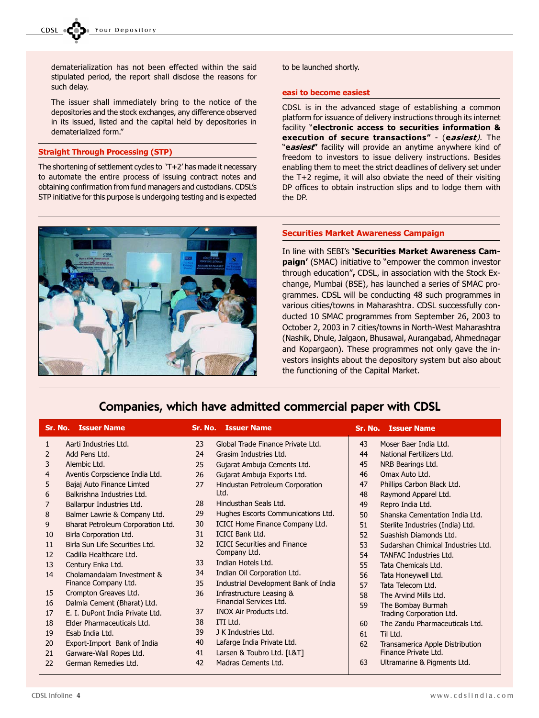dematerialization has not been effected within the said stipulated period, the report shall disclose the reasons for such delay.

The issuer shall immediately bring to the notice of the depositories and the stock exchanges, any difference observed in its issued, listed and the capital held by depositories in dematerialized form.

#### Straight Through Processing (STP)

The shortening of settlement cycles to 'T+2' has made it necessary to automate the entire process of issuing contract notes and obtaining confirmation from fund managers and custodians. CDSL's STP initiative for this purpose is undergoing testing and is expected



#### to be launched shortly.

#### easi to become easiest

CDSL is in the advanced stage of establishing a common platform for issuance of delivery instructions through its internet facility "electronic access to securities information & execution of secure transactions" - (easiest). The "easiest" facility will provide an anytime anywhere kind of freedom to investors to issue delivery instructions. Besides enabling them to meet the strict deadlines of delivery set under the T+2 regime, it will also obviate the need of their visiting DP offices to obtain instruction slips and to lodge them with the DP.

#### Securities Market Awareness Campaign

In line with SEBI's 'Securities Market Awareness Campaign' (SMAC) initiative to "empower the common investor through education", CDSL, in association with the Stock Exchange, Mumbai (BSE), has launched a series of SMAC programmes. CDSL will be conducting 48 such programmes in various cities/towns in Maharashtra. CDSL successfully conducted 10 SMAC programmes from September 26, 2003 to October 2, 2003 in 7 cities/towns in North-West Maharashtra (Nashik, Dhule, Jalgaon, Bhusawal, Aurangabad, Ahmednagar and Kopargaon). These programmes not only gave the investors insights about the depository system but also about the functioning of the Capital Market.

## Companies, which have admitted commercial paper with CDSL

|                | <b>Sr. No. Issuer Name</b>        |    | <b>Sr. No. Issuer Name</b>           |    | <b>Sr. No. Issuer Name</b>         |
|----------------|-----------------------------------|----|--------------------------------------|----|------------------------------------|
| 1              | Aarti Industries Ltd.             | 23 | Global Trade Finance Private Ltd.    | 43 | Moser Baer India Ltd.              |
| $\overline{2}$ | Add Pens Ltd.                     | 24 | Grasim Industries Ltd.               | 44 | National Fertilizers Ltd.          |
| 3              | Alembic Ltd.                      | 25 | Gujarat Ambuja Cements Ltd.          | 45 | NRB Bearings Ltd.                  |
| 4              | Aventis Corpscience India Ltd.    | 26 | Gujarat Ambuja Exports Ltd.          | 46 | Omax Auto Ltd.                     |
| 5              | Bajaj Auto Finance Limted         | 27 | Hindustan Petroleum Corporation      | 47 | Phillips Carbon Black Ltd.         |
| 6              | Balkrishna Industries Ltd.        |    | Ltd.                                 | 48 | Raymond Apparel Ltd.               |
| $\overline{7}$ | Ballarpur Industries Ltd.         | 28 | Hindusthan Seals Ltd.                | 49 | Repro India Ltd.                   |
| 8              | Balmer Lawrie & Company Ltd.      | 29 | Hughes Escorts Communications Ltd.   | 50 | Shanska Cementation India Ltd.     |
| 9              | Bharat Petroleum Corporation Ltd. | 30 | ICICI Home Finance Company Ltd.      | 51 | Sterlite Industries (India) Ltd.   |
| 10             | Birla Corporation Ltd.            | 31 | <b>ICICI Bank Ltd.</b>               | 52 | Suashish Diamonds Ltd.             |
| 11             | Birla Sun Life Securities Ltd.    | 32 | <b>ICICI Securities and Finance</b>  | 53 | Sudarshan Chimical Industries Ltd. |
| 12             | Cadilla Healthcare Ltd.           |    | Company Ltd.                         | 54 | <b>TANFAC Industries Ltd.</b>      |
| 13             | Century Enka Ltd.                 | 33 | Indian Hotels Ltd.                   | 55 | Tata Chemicals Ltd.                |
| 14             | Cholamandalam Investment &        | 34 | Indian Oil Corporation Ltd.          | 56 | Tata Honeywell Ltd.                |
|                | Finance Company Ltd.              | 35 | Industrial Development Bank of India | 57 | Tata Telecom Ltd.                  |
| 15             | Crompton Greaves Ltd.             | 36 | Infrastructure Leasing &             | 58 | The Arvind Mills Ltd.              |
| 16             | Dalmia Cement (Bharat) Ltd.       |    | Financial Services Ltd.              | 59 | The Bombay Burmah                  |
| 17             | E. I. DuPont India Private Ltd.   | 37 | <b>INOX Air Products Ltd.</b>        |    | Trading Corporation Ltd.           |
| 18             | Elder Pharmaceuticals Ltd.        | 38 | ITI Ltd.                             | 60 | The Zandu Pharmaceuticals Ltd.     |
| 19             | Esab India Ltd.                   | 39 | J K Industries Ltd.                  | 61 | Til Ltd.                           |
| 20             | Export-Import Bank of India       | 40 | Lafarge India Private Ltd.           | 62 | Transamerica Apple Distribution    |
| 21             | Garware-Wall Ropes Ltd.           | 41 | Larsen & Toubro Ltd. [L&T]           |    | Finance Private Ltd.               |
| 22             | German Remedies Ltd.              | 42 | Madras Cements Ltd.                  | 63 | Ultramarine & Pigments Ltd.        |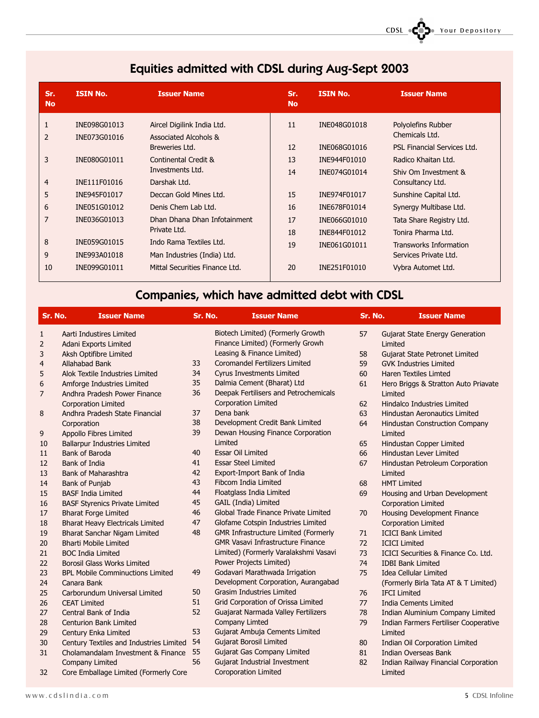| Sr.<br><b>No</b> | <b>ISIN No.</b> | <b>Issuer Name</b>             | Sr.<br><b>No</b> | <b>ISIN No.</b> | <b>Issuer Name</b>            |
|------------------|-----------------|--------------------------------|------------------|-----------------|-------------------------------|
| 1                | INE098G01013    | Aircel Digilink India Ltd.     | 11               | INE048G01018    | Polyolefins Rubber            |
| 2                | INE073G01016    | Associated Alcohols &          |                  |                 | Chemicals Ltd.                |
|                  |                 | Breweries Ltd.                 | 12               | INE068G01016    | PSL Financial Services Ltd.   |
| 3                | INE080G01011    | Continental Credit &           | 13               | INE944F01010    | Radico Khaitan Ltd.           |
|                  |                 | Investments Ltd.               | 14               | INE074G01014    | Shiv Om Investment &          |
| 4                | INE111F01016    | Darshak Ltd.                   |                  |                 | Consultancy Ltd.              |
| 5                | INE945F01017    | Deccan Gold Mines Ltd.         | 15               | INE974F01017    | Sunshine Capital Ltd.         |
| 6                | INE051G01012    | Denis Chem Lab Ltd.            | 16               | INE678F01014    | Synergy Multibase Ltd.        |
| 7                | INE036G01013    | Dhan Dhana Dhan Infotainment   | 17               | INE066G01010    | Tata Share Registry Ltd.      |
|                  |                 | Private Ltd.                   | 18               | INE844F01012    | Tonira Pharma Ltd.            |
| 8                | INE059G01015    | Indo Rama Textiles Ltd.        | 19               | INE061G01011    | <b>Transworks Information</b> |
| 9                | INE993A01018    | Man Industries (India) Ltd.    |                  |                 | Services Private Ltd.         |
| 10               | INE099G01011    | Mittal Securities Finance Ltd. | 20               | INE251F01010    | Vybra Automet Ltd.            |

## Equities admitted with CDSL during Aug-Sept 2003

# Companies, which have admitted debt with CDSL

| Sr. No.        | <b>Issuer Name</b>                      |    | Sr. No.<br><b>Issuer Name</b>               |    | Sr. No.              | <b>Issuer Name</b>                     |
|----------------|-----------------------------------------|----|---------------------------------------------|----|----------------------|----------------------------------------|
| 1              | Aarti Industires Limited                |    | Biotech Limited) (Formerly Growth           | 57 |                      | <b>Gujarat State Energy Generation</b> |
| $\overline{2}$ | Adani Exports Limited                   |    | Finance Limited) (Formerly Growh            |    | Limited              |                                        |
| 3              | Aksh Optifibre Limited                  |    | Leasing & Finance Limited)                  | 58 |                      | Gujarat State Petronet Limited         |
| $\overline{4}$ | Allahabad Bank                          | 33 | <b>Coromandel Fertilizers Limited</b>       | 59 |                      | <b>GVK Industries Limited</b>          |
| 5              | Alok Textile Industries Limited         | 34 | <b>Cyrus Investments Limited</b>            | 60 |                      | <b>Haren Textiles Limted</b>           |
| 6              | Amforge Industries Limited              | 35 | Dalmia Cement (Bharat) Ltd                  | 61 |                      | Hero Briggs & Stratton Auto Priavate   |
| 7              | Andhra Pradesh Power Finance            | 36 | Deepak Fertilisers and Petrochemicals       |    | Limited              |                                        |
|                | <b>Corporation Limited</b>              |    | <b>Corporation Limited</b>                  | 62 |                      | Hindalco Industries Limited            |
| 8              | Andhra Pradesh State Financial          | 37 | Dena bank                                   | 63 |                      | <b>Hindustan Aeronautics Limited</b>   |
|                | Corporation                             | 38 | Development Credit Bank Limited             | 64 |                      | <b>Hindustan Construction Company</b>  |
| 9              | Appollo Fibres Limited                  | 39 | Dewan Housing Finance Corporation           |    | Limited              |                                        |
| 10             | <b>Ballarpur Industries Limited</b>     |    | Limited                                     | 65 |                      | Hindustan Copper Limited               |
| 11             | Bank of Baroda                          | 40 | <b>Essar Oil Limited</b>                    | 66 |                      | <b>Hindustan Lever Limited</b>         |
| 12             | Bank of India                           | 41 | <b>Essar Steel Limited</b>                  | 67 |                      | Hindustan Petroleum Corporation        |
| 13             | <b>Bank of Maharashtra</b>              | 42 | Export-Import Bank of India                 |    | Limited              |                                        |
| 14             | Bank of Punjab                          | 43 | <b>Fibcom India Limited</b>                 | 68 | <b>HMT Limited</b>   |                                        |
| 15             | <b>BASF India Limited</b>               | 44 | Floatglass India Limited                    | 69 |                      | Housing and Urban Development          |
| 16             | <b>BASF Styrenics Private Limited</b>   | 45 | GAIL (India) Limited                        |    |                      | <b>Corporation Limited</b>             |
| 17             | <b>Bharat Forge Limited</b>             | 46 | Global Trade Finance Private Limited        | 70 |                      | Housing Development Finance            |
| 18             | <b>Bharat Heavy Electricals Limited</b> | 47 | Glofame Cotspin Industries Limited          |    |                      | <b>Corporation Limited</b>             |
| 19             | Bharat Sanchar Nigam Limited            | 48 | <b>GMR Infrastructure Limited (Formerly</b> | 71 |                      | <b>ICICI Bank Limited</b>              |
| 20             | <b>Bharti Mobile Limited</b>            |    | <b>GMR Vasavi Infrastructure Finance</b>    | 72 | <b>ICICI Limited</b> |                                        |
| 21             | <b>BOC India Limited</b>                |    | Limited) (Formerly Varalakshmi Vasavi       | 73 |                      | ICICI Securities & Finance Co. Ltd.    |
| 22             | <b>Borosil Glass Works Limited</b>      |    | Power Projects Limited)                     | 74 |                      | <b>IDBI Bank Limited</b>               |
| 23             | <b>BPL Mobile Comminuctions Limited</b> | 49 | Godavari Marathwada Irrigation              | 75 |                      | <b>Idea Cellular Limited</b>           |
| 24             | Canara Bank                             |    | Development Corporation, Aurangabad         |    |                      | (Formerly Birla Tata AT & T Limited)   |
| 25             | Carborundum Universal Limited           | 50 | <b>Grasim Industries Limited</b>            | 76 | <b>IFCI Limited</b>  |                                        |
| 26             | <b>CEAT Limited</b>                     | 51 | Grid Corporation of Orissa Limited          | 77 |                      | <b>India Cements Limited</b>           |
| 27             | Central Bank of India                   | 52 | Guajarat Narmada Valley Fertilizers         | 78 |                      | Indian Aluminium Company Limited       |
| 28             | <b>Centurion Bank Limited</b>           |    | <b>Company Limted</b>                       | 79 |                      | Indian Farmers Fertiliser Cooperative  |
| 29             | Century Enka Limited                    | 53 | Gujarat Ambuja Cements Limited              |    | Limited              |                                        |
| 30             | Century Textiles and Industries Limited | 54 | <b>Gujarat Borosil Limited</b>              | 80 |                      | Indian Oil Corporation Limited         |
| 31             | Cholamandalam Investment & Finance      | 55 | <b>Gujarat Gas Company Limited</b>          | 81 |                      | <b>Indian Overseas Bank</b>            |
|                | <b>Company Limited</b>                  | 56 | Gujarat Industrial Investment               | 82 |                      | Indian Railway Financial Corporation   |
| 32             | Core Emballage Limited (Formerly Core   |    | <b>Coroporation Limited</b>                 |    | Limited              |                                        |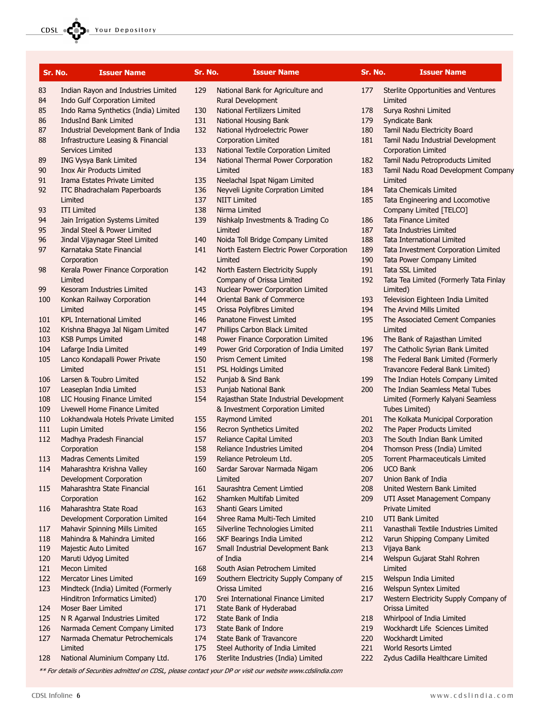| Sr. No. | <b>Issuer Name</b>                                            | Sr. No.    | <b>Issuer Name</b>                                                 | Sr. No.    | <b>Issuer Name</b>                                              |
|---------|---------------------------------------------------------------|------------|--------------------------------------------------------------------|------------|-----------------------------------------------------------------|
| 83      | Indian Rayon and Industries Limited                           | 129        | National Bank for Agriculture and                                  | 177        | Sterlite Opportunities and Ventures                             |
| 84      | Indo Gulf Corporation Limited                                 |            | Rural Development                                                  |            | Limited                                                         |
| 85      | Indo Rama Synthetics (India) Limited                          | 130        | National Fertilizers Limited                                       | 178        | Surya Roshni Limited                                            |
| 86      | IndusInd Bank Limited                                         | 131        | National Housing Bank                                              | 179        | Syndicate Bank                                                  |
| 87      | Industrial Development Bank of India                          | 132        | National Hydroelectric Power                                       | 180        | Tamil Nadu Electricity Board                                    |
| 88      | Infrastructure Leasing & Financial<br><b>Services Limited</b> | 133        | <b>Corporation Limited</b><br>National Textile Corporation Limited | 181        | Tamil Nadu Industrial Development<br><b>Corporation Limited</b> |
| 89      | ING Vysya Bank Limited                                        | 134        | National Thermal Power Corporation                                 | 182        | Tamil Nadu Petroproducts Limited                                |
| 90      | <b>Inox Air Products Limited</b>                              |            | Limited                                                            | 183        | Tamil Nadu Road Development Company                             |
| 91      | Irama Estates Private Limited                                 | 135        | Neelachal Ispat Nigam Limited                                      |            | Limited                                                         |
| 92      | ITC Bhadrachalam Paperboards                                  | 136        | Neyveli Lignite Corpration Limited                                 | 184        | <b>Tata Chemicals Limited</b>                                   |
|         | Limited                                                       | 137        | <b>NIIT Limited</b>                                                | 185        | Tata Engineering and Locomotive                                 |
| 93      | <b>ITI Limited</b>                                            | 138        | Nirma Limited                                                      |            | Company Limited [TELCO]                                         |
| 94      | Jain Irrigation Systems Limited                               | 139        | Nishkalp Investments & Trading Co                                  | 186        | <b>Tata Finance Limited</b>                                     |
| 95      | Jindal Steel & Power Limited                                  |            | Limited                                                            | 187        | Tata Industries Limited                                         |
| 96      | Jindal Vijaynagar Steel Limited                               | 140        | Noida Toll Bridge Company Limited                                  | 188        | <b>Tata International Limited</b>                               |
| 97      | Karnataka State Financial                                     | 141        | North Eastern Electric Power Corporation                           | 189        | Tata Investment Corporation Limited                             |
|         | Corporation                                                   |            | Limited                                                            | 190        | Tata Power Company Limited                                      |
| 98      | Kerala Power Finance Corporation                              | 142        | North Eastern Electricity Supply                                   | 191        | Tata SSL Limited                                                |
|         | Limited                                                       |            | Company of Orissa Limited                                          | 192        | Tata Tea Limited (Formerly Tata Finlay                          |
| 99      | Kesoram Industries Limited                                    | 143        | Nuclear Power Corporation Limited                                  |            | Limited)                                                        |
| 100     | Konkan Railway Corporation<br>Limited                         | 144<br>145 | Oriental Bank of Commerce<br>Orissa Polyfibres Limited             | 193<br>194 | Television Eighteen India Limited<br>The Arvind Mills Limited   |
| 101     | <b>KPL International Limited</b>                              | 146        | Panatone Finvest Limited                                           | 195        | The Associated Cement Companies                                 |
| 102     | Krishna Bhagya Jal Nigam Limited                              | 147        | Phillips Carbon Black Limited                                      |            | Limited                                                         |
| 103     | <b>KSB Pumps Limited</b>                                      | 148        | Power Finance Corporation Limited                                  | 196        | The Bank of Rajasthan Limited                                   |
| 104     | Lafarge India Limited                                         | 149        | Power Grid Corporation of India Limited                            | 197        | The Catholic Syrian Bank Limited                                |
| 105     | Lanco Kondapalli Power Private                                | 150        | <b>Prism Cement Limited</b>                                        | 198        | The Federal Bank Limited (Formerly                              |
|         | Limited                                                       | 151        | <b>PSL Holdings Limited</b>                                        |            | Travancore Federal Bank Limited)                                |
| 106     | Larsen & Toubro Limited                                       | 152        | Punjab & Sind Bank                                                 | 199        | The Indian Hotels Company Limited                               |
| 107     | Leaseplan India Limited                                       | 153        | Punjab National Bank                                               | 200        | The Indian Seamless Metal Tubes                                 |
| 108     | LIC Housing Finance Limited                                   | 154        | Rajasthan State Industrial Development                             |            | Limited (Formerly Kalyani Seamless                              |
| 109     | Livewell Home Finance Limited                                 |            | & Investment Corporation Limited                                   |            | Tubes Limited)                                                  |
| 110     | Lokhandwala Hotels Private Limited                            | 155        | <b>Raymond Limited</b>                                             | 201        | The Kolkata Municipal Corporation                               |
| 111     | Lupin Limited                                                 | 156        | Recron Synthetics Limited                                          | 202        | The Paper Products Limited                                      |
| 112     | Madhya Pradesh Financial                                      | 157        | Reliance Capital Limited                                           | 203        | The South Indian Bank Limited                                   |
|         | Corporation                                                   | 158        | Reliance Industries Limited                                        | 204        | Thomson Press (India) Limited                                   |
| 113     | <b>Madras Cements Limited</b>                                 | 159        | Reliance Petroleum Ltd.                                            | 205        | Torrent Pharmaceuticals Limited                                 |
| 114     | Maharashtra Krishna Valley                                    | 160        | Sardar Sarovar Narmada Nigam                                       | 206        | <b>UCO Bank</b>                                                 |
|         | Development Corporation                                       |            | Limited                                                            | 207        | Union Bank of India                                             |
| 115     | Maharashtra State Financial                                   | 161        | Saurashtra Cement Limtied<br>Shamken Multifab Limited              | 208        | United Western Bank Limited                                     |
|         | Corporation<br>Maharashtra State Road                         | 162<br>163 | Shanti Gears Limited                                               | 209        | UTI Asset Management Company<br><b>Private Limited</b>          |
| 116     | Development Corporation Limited                               | 164        | Shree Rama Multi-Tech Limited                                      | 210        | <b>UTI Bank Limited</b>                                         |
| 117     | Mahavir Spinning Mills Limited                                | 165        | Silverline Technologies Limited                                    | 211        | Vanasthali Textile Industries Limited                           |
| 118     | Mahindra & Mahindra Limited                                   | 166        | SKF Bearings India Limited                                         | 212        | Varun Shipping Company Limited                                  |
| 119     | Majestic Auto Limited                                         | 167        | Small Industrial Development Bank                                  | 213        | Vijaya Bank                                                     |
| 120     | Maruti Udyog Limited                                          |            | of India                                                           | 214        | Welspun Gujarat Stahl Rohren                                    |
| 121     | Mecon Limited                                                 | 168        | South Asian Petrochem Limited                                      |            | Limited                                                         |
| 122     | <b>Mercator Lines Limited</b>                                 | 169        | Southern Electricity Supply Company of                             | 215        | Welspun India Limited                                           |
| 123     | Mindteck (India) Limited (Formerly                            |            | Orissa Limited                                                     | 216        | Welspun Syntex Limited                                          |
|         | Hinditron Informatics Limited)                                | 170        | Srei International Finance Limited                                 | 217        | Western Electricity Supply Company of                           |
| 124     | Moser Baer Limited                                            | 171        | State Bank of Hyderabad                                            |            | Orissa Limited                                                  |
| 125     | N R Agarwal Industries Limited                                | 172        | State Bank of India                                                | 218        | Whirlpool of India Limited                                      |
| 126     | Narmada Cement Company Limited                                | 173        | State Bank of Indore                                               | 219        | Wockhardt Life Sciences Limited                                 |
| 127     | Narmada Chematur Petrochemicals                               | 174        | State Bank of Travancore                                           | 220        | <b>Wockhardt Limited</b>                                        |
|         | Limited                                                       | 175        | Steel Authority of India Limited                                   | 221        | World Resorts Limted                                            |

- 175 Steel Authority of India Limited
- 176 Sterlite Industries (India) Limited

\*\* For details of Securities admitted on CDSL, please contact your DP or visit our website www.cdslindia.com

222 Zydus Cadilla Healthcare Limited

128 National Aluminium Company Ltd.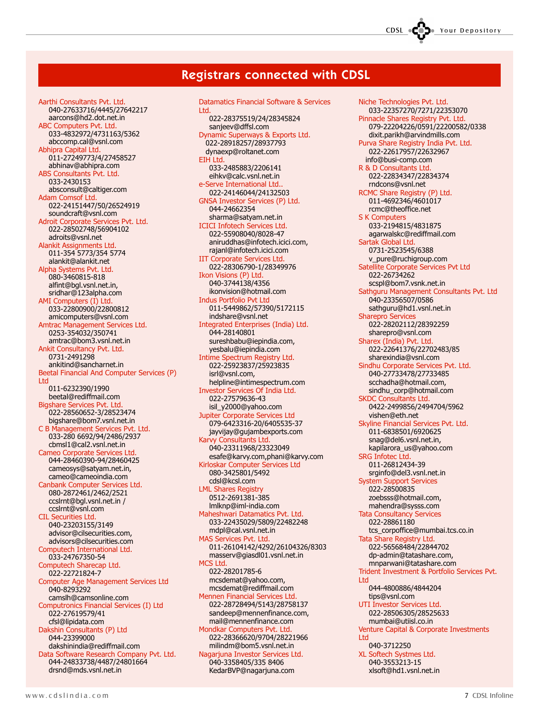## Registrars connected with CDSL

Aarthi Consultants Pvt. Ltd. 040-27633716/4445/27642217 aarcons@hd2.dot.net.in ABC Computers Pvt. Ltd. 033-4832972/4731163/5362 abccomp.cal@vsnl.com Abhipra Capital Ltd. 011-27249773/4/27458527 abhinav@abhipra.com ABS Consultants Pvt. Ltd. 033-2430153 absconsult@caltiger.com Adam Comsof Ltd. 022-24151447/50/26524919 soundcraft@vsnl.com Adroit Corporate Services Pvt. Ltd. 022-28502748/56904102 adroits@vsnl.net Alankit Assignments Ltd. 011-354 5773/354 5774 alankit@alankit.net Alpha Systems Pvt. Ltd. 080-3460815-818 alfint@bgl.vsnl.net.in, sridhar@123alpha.com AMI Computers (I) Ltd. 033-22800900/22800812 amicomputers@vsnl.com Amtrac Management Services Ltd. 0253-354032/350741 amtrac@bom3.vsnl.net.in Ankit Consultancy Pvt. Ltd. 0731-2491298 ankitind@sancharnet.in Beetal Financial And Computer Services (P) Ltd 011-6232390/1990 beetal@rediffmail.com Bigshare Services Pvt. Ltd. 022-28560652-3/28523474 bigshare@bom7.vsnl.net.in C B Management Services Pvt. Ltd. 033-280 6692/94/2486/2937 cbmsl1@cal2.vsnl.net.in Cameo Corporate Services Ltd. 044-28460390-94/28460425 cameosys@satyam.net.in, cameo@cameoindia.com Canbank Computer Services Ltd. 080-2872461/2462/2521 ccslrnt@bgl.vsnl.net.in / ccslrnt@vsnl.com CIL Securities Ltd. 040-23203155/3149 advisor@cilsecurities.com, advisors@cilsecurities.com Computech International Ltd. 033-24767350-54 Computech Sharecap Ltd. 022-22721824-7 Computer Age Management Services Ltd 040-8293292 camslh@camsonline.com Computronics Financial Services (I) Ltd 022-27619579/41 cfsl@lipidata.com Dakshin Consultants (P) Ltd 044-23399000 dakshinindia@rediffmail.com Data Software Research Company Pvt. Ltd. 044-24833738/4487/24801664 drsnd@mds.vsnl.net.in

Datamatics Financial Software & Services Ltd. 022-28375519/24/28345824 sanjeev@dffsl.com Dynamic Superways & Exports Ltd. 022-28918257/28937793 dynaexp@roltanet.com EIH Ltd. 033-2485883/2206141 eihkv@calc.vsnl.net.in e-Serve International Ltd.. 022-24146044/24132503 GNSA Investor Services (P) Ltd. 044-24662354 sharma@satyam.net.in ICICI Infotech Services Ltd. 022-55908040/8028-47 aniruddhas@infotech.icici.com, rajanl@infotech.icici.com IIT Corporate Services Ltd. 022-28306790-1/28349976 Ikon Visions (P) Ltd. 040-3744138/4356 ikonvision@hotmail.com Indus Portfolio Pvt Ltd 011-5449862/57390/5172115 indshare@vsnl.net Integrated Enterprises (India) Ltd. 044-28140801 sureshbabu@iepindia.com, yesbalu@iepindia.com Intime Spectrum Registry Ltd. 022-25923837/25923835 isrl@vsnl.com, helpline@intimespectrum.com Investor Services Of India Ltd. 022-27579636-43 isil\_y2000@yahoo.com Jupiter Corporate Services Ltd 079-6423316-20/6405535-37 jayvijay@gujambexports.com Karvy Consultants Ltd. 040-23311968/23323049 esafe@karvy.com,phani@karvy.com Kirloskar Computer Services Ltd 080-3425801/5492 cdsl@kcsl.com LML Shares Registry 0512-2691381-385 lmlknp@iml-india.com Maheshwari Datamatics Pvt. Ltd. 033-22435029/5809/22482248 mdpl@cal.vsnl.net.in MAS Services Pvt. Ltd. 011-26104142/4292/26104326/8303 masserv@giasdl01.vsnl.net.in MCS Ltd. 022-28201785-6 mcsdemat@yahoo.com, mcsdemat@rediffmail.com Mennen Financial Services Ltd. 022-28728494/5143/28758137 sandeep@mennenfinance.com, mail@mennenfinance.com Mondkar Computers Pvt. Ltd. 022-28366620/9704/28221966 milindm@bom5.vsnl.net.in Nagarjuna Investor Services Ltd. 040-3358405/335 8406 KedarBVP@nagarjuna.com

Niche Technologies Pvt. Ltd. 033-22357270/7271/22353070 Pinnacle Shares Registry Pvt. Ltd. 079-22204226/0591/22200582/0338 dixit.parikh@arvindmills.com Purva Share Registry India Pvt. Ltd. 022-22617957/22632967 info@busi-comp.com R & D Consultants Ltd. 022-22834347/22834374 rndcons@vsnl.net RCMC Share Registry (P) Ltd. 011-4692346/4601017 rcmc@theoffice.net **S K Computers** 033-2194815/4831875 agarwalskc@rediffmail.com Sartak Global Ltd. 0731-2523545/6388 v\_pure@ruchigroup.com Satellite Corporate Services Pvt Ltd 022-26734262 scspl@bom7.vsnk.net.in Sathguru Management Consultants Pvt. Ltd 040-23356507/0586 sathguru@hd1.vsnl.net.in Sharepro Services 022-28202112/28392259 sharepro@vsnl.com Sharex (India) Pvt. Ltd. 022-22641376/22702483/85 sharexindia@vsnl.com Sindhu Corporate Services Pvt. Ltd. 040-27733478/27733485 scchadha@hotmail.com, sindhu\_corp@hotmail.com SKDC Consultants Ltd. 0422-2499856/2494704/5962 vishen@eth.net Skyline Financial Services Pvt. Ltd. 011-6838501/6920625 snag@del6.vsnl.net.in, kapilarora\_us@yahoo.com SRG Infotec Ltd. 011-26812434-39 srginfo@del3.vsnl.net.in System Support Services 022-28500835 zoebsss@hotmail.com, mahendra@sysss.com Tata Consultancy Services 022-28861180 tcs\_corpoffice@mumbai.tcs.co.in Tata Share Registry Ltd. 022-56568484/22844702 dp-admin@tatashare.com, mnparwani@tatashare.com Trident Investment & Portfolio Services Pvt. Ltd 044-4800886/4844204 tips@vsnl.com UTI Investor Services Ltd. 022-28506305/28525633 mumbai@utiisl.co.in Venture Capital & Corporate Investments Ltd 040-3712250 XL Softech Systmes Ltd. 040-3553213-15 xlsoft@hd1.vsnl.net.in

CDSL **COD** Your Depository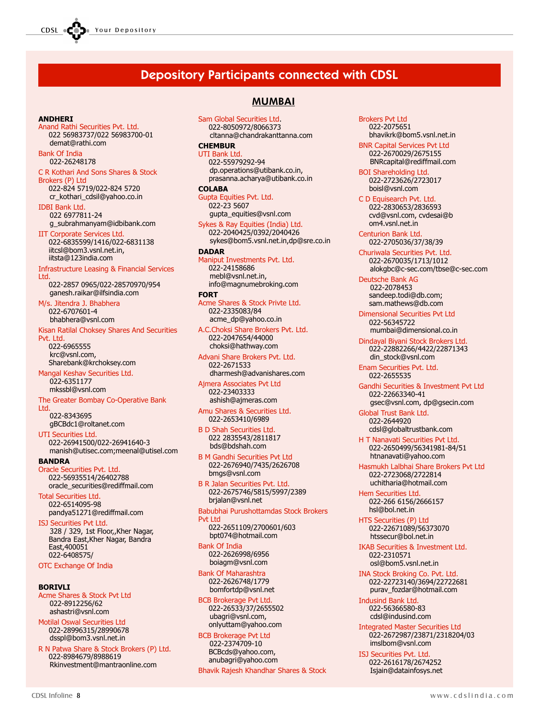CDSL Your Depository

## Depository Participants connected with CDSL

#### **ANDHERT**

Anand Rathi Securities Pvt. Ltd. 022 56983737/022 56983700-01 demat@rathi.com

Bank Of India 022-26248178

C R Kothari And Sons Shares & Stock Brokers (P) Ltd

022-824 5719/022-824 5720 cr\_kothari\_cdsil@yahoo.co.in IDBI Bank Ltd.

 022 6977811-24 g\_subrahmanyam@idbibank.com

IIT Corporate Services Ltd. 022-6835599/1416/022-6831138 iitcsl@bom3.vsnl.net.in, iitsta@123india.com

Infrastructure Leasing & Financial Services **Ltd.** 

022-2857 0965/022-28570970/954 ganesh.raikar@ilfsindia.com M/s. Jitendra J. Bhabhera

022-6707601-4 bhabhera@vsnl.com

Kisan Ratilal Choksey Shares And Securities Pvt. Ltd. 022-6965555

 krc@vsnl.com, Sharebank@krchoksey.com Mangal Keshav Securities Ltd.

 022-6351177 mkssbl@vsnl.com

The Greater Bombay Co-Operative Bank Ltd.

 022-8343695 gBCBdc1@roltanet.com

UTI Securities Ltd. 022-26941500/022-26941640-3 manish@utisec.com;meenal@utisel.com

BANDRA Oracle Securities Pvt. Ltd. 022-56935514/26402788

oracle\_securities@rediffmail.com Total Securities Ltd.

022-6514095-98 pandya51271@rediffmail.com

ISJ Securities Pvt Ltd. 328 / 329, 1st Floor,,Kher Nagar, Bandra East,Kher Nagar, Bandra East,400051 022-6408575/

OTC Exchange Of India

#### **BORTVLT**

Acme Shares & Stock Pvt Ltd 022-8912256/62 ashastri@vsnl.com

Motilal Oswal Securities Ltd 022-28996315/28990678 dsspl@bom3.vsnl.net.in

R N Patwa Share & Stock Brokers (P) Ltd. 022-8984679/8988619 Rkinvestment@mantraonline.com

### MUMBAI

Sam Global Securities Ltd. 022-8050972/8066373 cltanna@chandrakanttanna.com

#### **CHEMBUR**

UTI Bank Ltd. 022-55979292-94 dp.operations@utibank.co.in, prasanna.acharya@utibank.co.in

#### **COLABA**

Gupta Equities Pvt. Ltd. 022-23 5607 gupta\_equities@vsnl.com

Sykes & Ray Equities (India) Ltd. 022-2040425/0392/2040426 sykes@bom5.vsnl.net.in,dp@sre.co.in

#### DADAR

Maniput Investments Pvt. Ltd. 022-24158686 mebl@vsnl.net.in, info@magnumebroking.com

#### FORT

Acme Shares & Stock Privte Ltd. 022-2335083/84 acme\_dp@yahoo.co.in

A.C.Choksi Share Brokers Pvt. Ltd. 022-2047654/44000 choksi@hathway.com

Advani Share Brokers Pvt. Ltd. 022-2671533

 dharmesh@advanishares.com Ajmera Associates Pvt Ltd 022-23403333

ashish@ajmeras.com

Amu Shares & Securities Ltd. 022-2653410/6989

B D Shah Securities Ltd. 022 2835543/2811817 bds@bdshah.com

B M Gandhi Securities Pvt Ltd 022-2676940/7435/2626708 bmgs@vsnl.com

B R Jalan Securities Pvt. Ltd. 022-2675746/5815/5997/2389 brjalan@vsnl.net

Babubhai Purushottamdas Stock Brokers Pvt I td 022-2651109/2700601/603

 bpt074@hotmail.com Bank Of India 022-2626998/6956 boiagm@vsnl.com

Bank Of Maharashtra 022-2626748/1779 bomfortdp@vsnl.net

BCB Brokerage Pvt Ltd. 022-26533/37/2655502 ubagri@vsnl.com, onlyuttam@yahoo.com

BCB Brokerage Pvt Ltd 022-2374709-10 BCBcds@yahoo.com, anubagri@yahoo.com

Bhavik Rajesh Khandhar Shares & Stock

Brokers Pvt Ltd 022-2075651 bhavikrk@bom5.vsnl.net.in

BNR Capital Services Pvt Ltd 022-2670029/2675155 BNRcapital@rediffmail.com

BOI Shareholding Ltd. 022-2723626/2723017 boisl@vsnl.com

C D Equisearch Pvt. Ltd. 022-2830653/2836593 cvd@vsnl.com, cvdesai@b om4.vsnl.net.in

Centurion Bank Ltd. 022-2705036/37/38/39

Churiwala Securities Pvt. Ltd. 022-2670035/1713/1012 alokgbc@c-sec.com/tbse@c-sec.com

Deutsche Bank AG 022-2078453 sandeep.todi@db.com; sam.mathews@db.com

Dimensional Securities Pvt Ltd 022-56345722

mumbai@dimensional.co.in

Dindayal Biyani Stock Brokers Ltd. 022-22882266/4422/22871343 din\_stock@vsnl.com

Enam Securities Pvt. Ltd. 022-2655535

Gandhi Securities & Investment Pvt Ltd 022-22663340-41 gsec@vsnl.com, dp@gsecin.com

Global Trust Bank Ltd. 022-2644920 cdsl@globaltrustbank.com

H T Nanavati Securities Pvt Ltd. 022-2650499/56341981-84/51 htnanavati@yahoo.com

Hasmukh Lalbhai Share Brokers Pvt Ltd 022-2723068/2722814 uchitharia@hotmail.com

Hem Securities Ltd. 022-266 6156/2666157 hsl@bol.net.in

HTS Securities (P) Ltd 022-22671089/56373070 htssecur@bol.net.in

IKAB Securities & Investment Ltd. 022-2310571 osl@bom5.vsnl.net.in

INA Stock Broking Co. Pvt. Ltd. 022-22723140/3694/22722681 purav\_fozdar@hotmail.com

Indusind Bank Ltd. 022-56366580-83 cdsl@indusind.com

Integrated Master Securities Ltd 022-2672987/23871/2318204/03 imslbom@vsnl.com

ISJ Securities Pvt. Ltd. 022-2616178/2674252 Isjain@datainfosys.net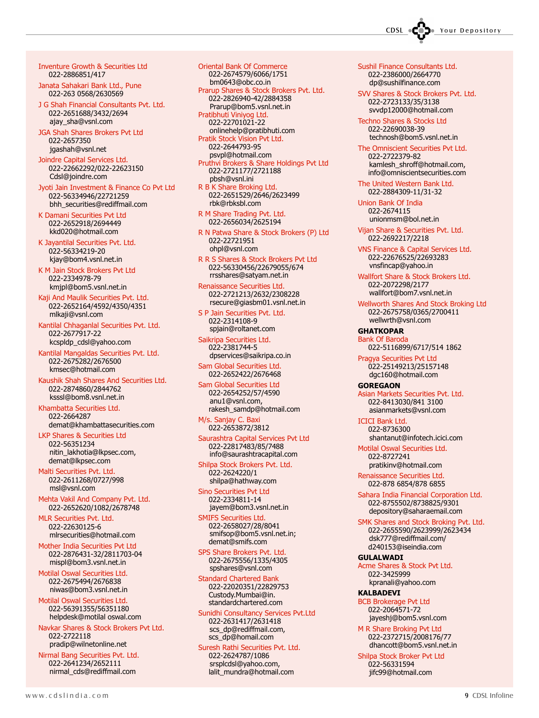Inventure Growth & Securities Ltd 022-2886851/417

Janata Sahakari Bank Ltd., Pune 022-263 0568/2630569

J G Shah Financial Consultants Pvt. Ltd. 022-2651688/3432/2694 ajay\_sha@vsnl.com

JGA Shah Shares Brokers Pvt Ltd 022-2657350 jgashah@vsnl.net

Joindre Capital Services Ltd. 022-22662292/022-22623150 Cdsl@joindre.com

Jyoti Jain Investment & Finance Co Pvt Ltd 022-56334946/22721259 bhh\_securities@rediffmail.com

K Damani Securities Pvt Ltd 022-2652918/2694449 kkd020@hotmail.com

K Jayantilal Securities Pvt. Ltd. 022-56334219-20 kjay@bom4.vsnl.net.in

K M Jain Stock Brokers Pvt Ltd 022-2334978-79 kmjpl@bom5.vsnl.net.in

Kaji And Maulik Securities Pvt. Ltd. 022-2652164/4592/4350/4351 mlkaji@vsnl.com

Kantilal Chhaganlal Securities Pvt. Ltd. 022-2677917-22 kcspldp\_cdsl@yahoo.com

Kantilal Mangaldas Securities Pvt. Ltd. 022-2675282/2676500 kmsec@hotmail.com

Kaushik Shah Shares And Securities Ltd. 022-2874860/2844762 ksssl@bom8.vsnl.net.in

Khambatta Securities Ltd. 022-2664287 demat@khambattasecurities.com

LKP Shares & Securities Ltd 022-56351234 nitin\_lakhotia@lkpsec.com, demat@lkpsec.com

Malti Securities Pvt. Ltd. 022-2611268/0727/998 msl@vsnl.com

Mehta Vakil And Company Pvt. Ltd. 022-2652620/1082/2678748

MLR Securities Pvt. Ltd. 022-22630125-6 mlrsecurities@hotmail.com

Mother India Securities Pvt Ltd 022-2876431-32/2811703-04 mispl@bom3.vsnl.net.in

Motilal Oswal Securities Ltd. 022-2675494/2676838 niwas@bom3.vsnl.net.in

Motilal Oswal Securities Ltd. 022-56391355/56351180 helpdesk@motilal oswal.com

Navkar Shares & Stock Brokers Pvt Ltd. 022-2722118 pradip@wilnetonline.net

Nirmal Bang Securities Pvt. Ltd. 022-2641234/2652111 nirmal\_cds@rediffmail.com

Oriental Bank Of Commerce 022-2674579/6066/1751 bm0643@obc.co.in Prarup Shares & Stock Brokers Pvt. Ltd. 022-2826940-42/2884358 Prarup@bom5.vsnl.net.in Pratibhuti Viniyog Ltd. 022-22701021-22 onlinehelp@pratibhuti.com Pratik Stock Vision Pvt Ltd. 022-2644793-95

 psvpl@hotmail.com Pruthvi Brokers & Share Holdings Pvt Ltd 022-2721177/2721188 pbsh@vsnl.ini

R B K Share Broking Ltd. 022-2651529/2646/2623499 rbk@rbksbl.com

R M Share Trading Pvt. Ltd. 022-2656034/2625194

R N Patwa Share & Stock Brokers (P) Ltd 022-22721951 ohpl@vsnl.com

R R S Shares & Stock Brokers Pvt Ltd 022-56330456/22679055/674 rrsshares@satyam.net.in

Renaissance Securities Ltd. 022-2721213/2632/2308228 rsecure@giasbm01.vsnl.net.in

S P Jain Securities Pvt. Ltd. 022-2314108-9

 spjain@roltanet.com Saikripa Securities Ltd. 022-2381744-5

dpservices@saikripa.co.in

Sam Global Securities Ltd. 022-2652422/2676468

Sam Global Securities Ltd 022-2654252/57/4590 anu1@vsnl.com, rakesh\_samdp@hotmail.com

M/s. Sanjay C. Baxi 022-2653872/3812

Saurashtra Capital Services Pvt Ltd 022-22817483/85/7488 info@saurashtracapital.com

Shilpa Stock Brokers Pvt. Ltd. 022-2624220/1 shilpa@hathway.com

Sino Securities Pvt Ltd 022-2334811-14 jayem@bom3.vsnl.net.in

SMIFS Securities Ltd. 022-2658027/28/8041 smifsop@bom5.vsnl.net.in; demat@smifs.com

SPS Share Brokers Pvt. Ltd. 022-2675556/1335/4305 spshares@vsnl.com

Standard Chartered Bank 022-22020351/22829753 Custody.Mumbai@in. standardchartered.com

Sunidhi Consultancy Services Pvt.Ltd 022-2631417/2631418 scs\_dp@rediffmail.com, scs\_dp@homail.com

Suresh Rathi Securities Pvt. Ltd. 022-2624787/1086 srsplcdsl@yahoo.com, lalit\_mundra@hotmail.com

Sushil Finance Consultants Ltd. 022-2386000/2664770 dp@sushilfinance.com

SVV Shares & Stock Brokers Pvt. Ltd. 022-2723133/35/3138 svvdp12000@hotmail.com

Techno Shares & Stocks Ltd 022-22690038-39 technosh@bom5.vsnl.net.in

The Omniscient Securities Pvt Ltd. 022-2722379-82 kamlesh\_shroff@hotmail.com, info@omniscientsecurities.com

The United Western Bank Ltd. 022-2884309-11/31-32

Union Bank Of India 022-2674115 unionmsm@bol.net.in

Vijan Share & Securities Pvt. Ltd. 022-2692217/2218

VNS Finance & Capital Services Ltd. 022-22676525/22693283 vnsfincap@yahoo.in

Wallfort Share & Stock Brokers Ltd. 022-2072298/2177 wallfort@bom7.vsnl.net.in

Wellworth Shares And Stock Broking Ltd 022-2675758/0365/2700411 wellwrth@vsnl.com

GHATKOPAR Bank Of Baroda 022-5116899/6717/514 1862

Pragya Securities Pvt Ltd 022-25149213/25157148 dgc160@hotmail.com

**GOREGAON** 

Asian Markets Securities Pvt. Ltd. 022-8413030/841 3100 asianmarkets@vsnl.com

ICICI Bank Ltd. 022-8736300 shantanut@infotech.icici.com

Motilal Oswal Securities Ltd. 022-8727241 pratikinv@hotmail.com

Renaissance Securities Ltd. 022-878 6854/878 6855

Sahara India Financial Corporation Ltd. 022-8755502/8738825/9301 depository@saharaemail.com

SMK Shares and Stock Broking Pvt. Ltd. 022-2655590/2623999/2623434 dsk777@rediffmail.com/ d240153@iseindia.com

GULALWADI Acme Shares & Stock Pvt Ltd. 022-3425999

 kpranali@yahoo.com KALBADEVI

BCB Brokerage Pvt Ltd 022-2064571-72 jayeshj@bom5.vsnl.com

M R Share Broking Pvt Ltd 022-2372715/2008176/77 dhancott@bom5.vsnl.net.in

Shilpa Stock Broker Pvt Ltd 022-56331594 jifc99@hotmail.com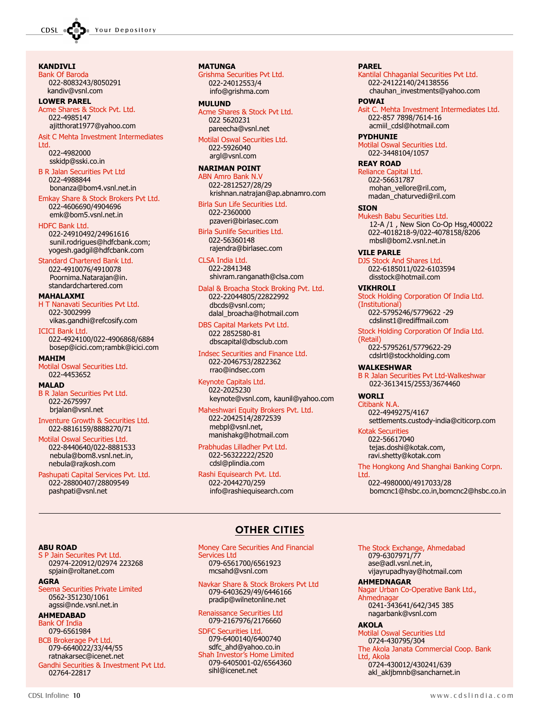KANDIVLI

Bank Of Baroda 022-8083243/8050291 kandiv@vsnl.com

### LOWER PAREL

Acme Shares & Stock Pvt. Ltd. 022-4985147 ajitthorat1977@yahoo.com

Asit C Mehta Investment Intermediates Ltd.

022-4982000 sskidp@sski.co.in

B R Jalan Securities Pvt Ltd 022-4988844 bonanza@bom4.vsnl.net.in

Emkay Share & Stock Brokers Pvt Ltd. 022-4606690/4904696 emk@bom5.vsnl.net.in

#### HDFC Bank Ltd.

022-24910492/24961616 sunil.rodrigues@hdfcbank.com; yogesh.gadgil@hdfcbank.com

#### Standard Chartered Bank Ltd.

022-4910076/4910078 Poornima.Natarajan@in. standardchartered.com

#### MAHALAXMI

H T Nanavati Securities Pvt Ltd. 022-3002999 vikas.gandhi@refcosify.com ICICI Bank Ltd.

022-4924100/022-4906868/6884 bosep@icici.com;rambk@icici.com

#### MAHIM

Motilal Oswal Securities Ltd. 022-4453652

#### MALAD

B R Jalan Securities Pvt Ltd. 022-2675997 brjalan@vsnl.net

Inventure Growth & Securities Ltd. 022-8816159/8888270/71

Motilal Oswal Securities Ltd. 022-8440640/022-8881533 nebula@bom8.vsnl.net.in, nebula@rajkosh.com

Pashupati Capital Services Pvt. Ltd. 022-28800407/28809549 pashpati@vsnl.net

02974-220912/02974 223268 spjain@roltanet.com

Seema Securities Private Limited 0562-351230/1061 agssi@nde.vsnl.net.in

#### MATUNGA

Grishma Securities Pvt Ltd. 022-24012553/4 info@grishma.com

#### MULUND

Acme Shares & Stock Pvt Ltd. 022 5620231 pareecha@vsnl.net

Motilal Oswal Securities Ltd. 022-5926040 argl@vsnl.com

#### NARIMAN POINT

ABN Amro Bank N.V 022-2812527/28/29 krishnan.natrajan@ap.abnamro.com

Birla Sun Life Securities Ltd. 022-2360000 pzaveri@birlasec.com

Birla Sunlife Securities Ltd. 022-56360148 rajendra@birlasec.com

CLSA India Ltd. 022-2841348 shivram.ranganath@clsa.com

Dalal & Broacha Stock Broking Pvt. Ltd. 022-22044805/22822992 dbcds@vsnl.com; dalal\_broacha@hotmail.com

DBS Capital Markets Pvt Ltd. 022 2852580-81 dbscapital@dbsclub.com

Indsec Securities and Finance Ltd. 022-2046753/2822362 rrao@indsec.com

Keynote Capitals Ltd. 022-2025230 keynote@vsnl.com, kaunil@yahoo.com

Maheshwari Equity Brokers Pvt. Ltd. 022-2042514/2872539 mebpl@vsnl.net, manishakg@hotmail.com

Prabhudas Lilladher Pvt Ltd. 022-56322222/2520 cdsl@plindia.com

Rashi Equisearch Pvt. Ltd. 022-2044270/259 info@rashiequisearch.com

#### PAREL

Kantilal Chhaganlal Securities Pvt Ltd. 022-24122140/24138556 chauhan\_investments@yahoo.com POWAI

Asit C. Mehta Investment Intermediates Ltd. 022-857 7898/7614-16 acmiil\_cdsl@hotmail.com

PYDHUNIE

Motilal Oswal Securities Ltd. 022-3448104/1057

#### REAY ROAD

Reliance Capital Ltd. 022-56631787 mohan\_vellore@ril.com, madan\_chaturvedi@ril.com

#### **SION**

Mukesh Babu Securities Ltd. 12-A /1 , New Sion Co-Op Hsg,400022 022-4018218-9/022-4078158/8206 mbsll@bom2.vsnl.net.in

VILE PARLE

DJS Stock And Shares Ltd. 022-6185011/022-6103594 disstock@hotmail.com

#### VIKHROLI

Stock Holding Corporation Of India Ltd. (Institutional) 022-5795246/5779622 -29 cdslinst1@rediffmail.com

Stock Holding Corporation Of India Ltd.

(Retail) 022-5795261/5779622-29 cdslrtl@stockholding.com

#### WALKESHWAR

B R Jalan Securities Pvt Ltd-Walkeshwar 022-3613415/2553/3674460

WORLI

Citibank N.A. 022-4949275/4167 settlements.custody-india@citicorp.com

Kotak Securities 022-56617040 tejas.doshi@kotak.com, ravi.shetty@kotak.com

The Hongkong And Shanghai Banking Corpn. Ltd.

022-4980000/4917033/28 bomcnc1@hsbc.co.in,bomcnc2@hsbc.co.in

#### OTHER CITIES

Money Care Securities And Financial Services Ltd 079-6561700/6561923 mcsahd@vsnl.com

Navkar Share & Stock Brokers Pvt Ltd 079-6403629/49/6446166 pradip@wilnetonline.net

Renaissance Securities Ltd 079-2167976/2176660

SDFC Securities Ltd. 079-6400140/6400740 sdfc\_ahd@yahoo.co.in Shah Investor's Home Limited 079-6405001-02/6564360 sihl@icenet.net

The Stock Exchange, Ahmedabad 079-6307971/77 ase@adl.vsnl.net.in, vijayrupadhyay@hotmail.com

AHMEDNAGAR Nagar Urban Co-Operative Bank Ltd., Ahmednaga

0241-343641/642/345 385 nagarbank@vsnl.com

AKOLA

Motilal Oswal Securities Ltd 0724-430795/304 The Akola Janata Commercial Coop. Bank Ltd, Akola

0724-430012/430241/639 akl\_akljbmnb@sancharnet.in

#### ABU ROAD Jain Securites Pvt Ltd.

AHMEDABAD **Bank Of Indi** 079-6561984 BCB Brokerage Pvt Ltd. 079-6640022/33/44/55 ratnakarsec@icenet.net Gandhi Securities & Investment Pvt Ltd.

AGRA

02764-22817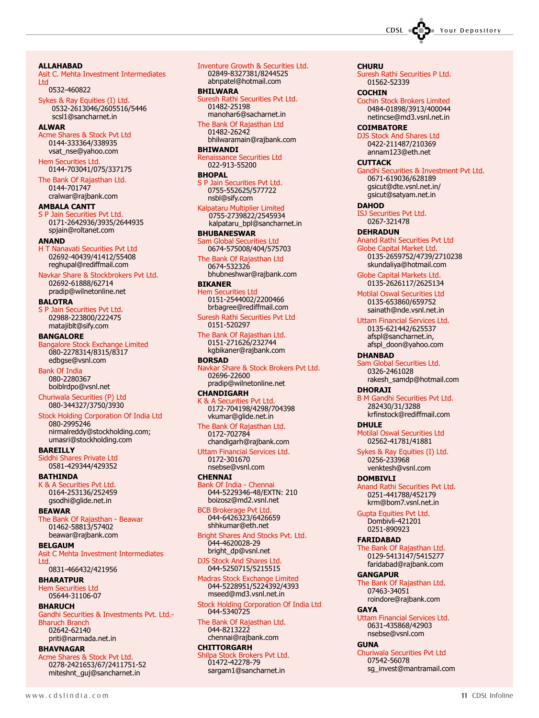**CHURU** 

**COCHIN** 

**COIMBATORE** 

**CUTTACK** 

**DAHOD** 

Suresh Rathi Securities P Ltd. 01562-52339

Cochin Stock Brokers Limited 0484-01898/3913/400044 netincse@md3.vsnl.net.in

DJS Stock And Shares Ltd 0422-211487/210369 annam123@eth.net

> 0671-619036/628189 gsicut@dte.vsnl.net.in/ gsicut@satyam.net.in

Anand Rathi Securities Pvt Ltd Globe Capital Market Ltd.

0135-2659752/4739/2710238 skundaliya@hotmail.com Globe Capital Markets Ltd. 0135-2626117/2625134 Motilal Oswal Securities Ltd 0135-653860/659752

ISJ Securities Pvt Ltd. 0267-321478 **DEHRADUN** 

Gandhi Securities & Investment Pvt Ltd.

ALLAHABAD Asit C. Mehta Investment Intermediates Ltd 0532-460822 Sykes & Ray Equities (I) Ltd. 0532-2613046/2605516/5446 scsl1@sancharnet.in **ALWAR** Acme Shares & Stock Pvt Ltd 0144-333364/338935 vsat\_nse@yahoo.com Hem Securities Ltd. 0144-703041/075/337175 The Bank Of Rajasthan Ltd. 0144-701747 cralwar@rajbank.com AMBALA CANTT S P Jain Securities Pvt Ltd. 0171-2642936/3935/2644935 spjain@roltanet.com ANAND H T Nanavati Securities Pvt Ltd 02692-40439/41412/55408 reghupal@rediffmail.com Navkar Share & Stockbrokers Pvt Ltd. 02692-61888/62714 pradip@wilnetonline.net BALOTRA S P Jain Securities Pvt Ltd. 02988-223800/222475 matajiblt@sify.com BANGALORE Bangalore Stock Exchange Limited 080-2278314/8315/8317 edbgse@vsnl.com Bank Of India 080-2280367 boiblrdpo@vsnl.net Churiwala Securities (P) Ltd 080-344327/3750/3930 Stock Holding Corporation Of India Ltd 080-2995246 nirmalreddy@stockholding.com; umasri@stockholding.com BAREILLY Siddhi Shares Private Ltd 0581-429344/429352 BATHINDA K & A Securities Pvt Ltd. 0164-253136/252459 gsodhi@glide.net.in **BFAWAR** The Bank Of Rajasthan - Beawar 01462-58813/57402 beawar@rajbank.com BELGAUM Asit C Mehta Investment Intermediates Ltd. 0831-466432/421956 BHARATPUR Hem Securities Ltd 05644-31106-07 BHARUCH Gandhi Securities & Investments Pvt. Ltd.- Bharuch Branch 02642-62140

priti@narmada.net.in BHAVNAGAR

Acme Shares & Stock Pvt Ltd. 0278-2421653/67/2411751-52 miteshnt\_guj@sancharnet.in

BHILWARA Suresh Rathi Securities Pvt Ltd. 01482-25198 manohar6@sacharnet.in The Bank Of Rajasthan Ltd

01482-26242 bhilwaramain@rajbank.com

#### BHIWANDI ssance Securities Ltd 022-913-55200

#### BHOPAL

S P Jain Securities Pvt Ltd. 0755-552625/577722 nsbl@sify.com

Kalpataru Multiplier Limited 0755-2739822/2545934 kalpataru\_bpl@sancharnet.in

#### BHUBANESWAR Sam Global Securities Ltd

0674-575008/404/575703 The Bank Of Rajasthan Ltd

0674-532326 bhubneshwar@rajbank.com

#### BIKANER

Hem Securities Ltd 0151-2544002/2200466 brbagree@rediffmail.com

Suresh Rathi Securities Pvt Ltd 0151-520297

The Bank Of Rajasthan Ltd. 0151-271626/232744 kgbikaner@rajbank.com

#### BORSAD

Navkar Share & Stock Brokers Pvt Ltd. 02696-22600 pradip@wilnetonline.net

#### CHANDIGARH

R A Securities Pvt Ltd. 0172-704198/4298/704398 vkumar@glide.net.in

The Bank Of Rajasthan Ltd. 0172-702784 chandigarh@rajbank.com

Uttam Financial Services Ltd. 0172-301670 nsebse@vsnl.com

#### **CHENNAI**

Bank Of India - Chennai 044-5229346-48/EXTN: 210 boizosz@md2.vsnl.net

BCB Brokerage Pvt Ltd. 044-6426323/6426659 shhkumar@eth.net

Bright Shares And Stocks Pvt. Ltd. 044-4620028-29 bright\_dp@vsnl.net

DJS Stock And Shares Ltd. 044-5250715/5215515

Madras Stock Exchange Limited 044-5228951/5224392/4393 mseed@md3.vsnl.net.in

Stock Holding Corporation Of India Ltd 044-5340725

The Bank Of Rajasthan Ltd. 044-8213222 chennai@rajbank.com

**CHITTORGARH** Shilpa Stock Brokers Pvt Ltd. 01472-42278-79 sargam1@sancharnet.in

sainath@nde.vsnl.net.in Uttam Financial Services Ltd. 0135-621442/625537 afspl@sancharnet.in, afspl\_doon@yahoo.com DHANBAD Sam Global Securities Ltd. 0326-2461028 rakesh\_samdp@hotmail.com DHORAJI B M Gandhi Securities Pvt Ltd. 282430/31/3288 krfinstock@rediffmail.com DHULE Motilal Oswal Securities Ltd 02562-41781/41881 Sykes & Ray Equities (I) Ltd. 0256-233968 venktesh@vsnl.com DOMBIVLI Anand Rathi Securities Pvt Ltd. 0251-441788/452179 krm@bom7.vsnl.net.in Gupta Equities Pvt Ltd. Dombivli-421201 0251-890923 FARIDABAD The Bank Of Rajasthan Ltd. 0129-5413147/5415277 faridabad@rajbank.com **GANGAPUR** The Bank Of Rajasthan Ltd. 07463-34051 roindore@rajbank.com **GAYA** 

Uttam Financial Services Ltd. 0631-435868/42903 nsebse@vsnl.com

#### **GUNA**

Churiwala Securities Pvt Ltd 07542-56078 sg\_invest@mantramail.com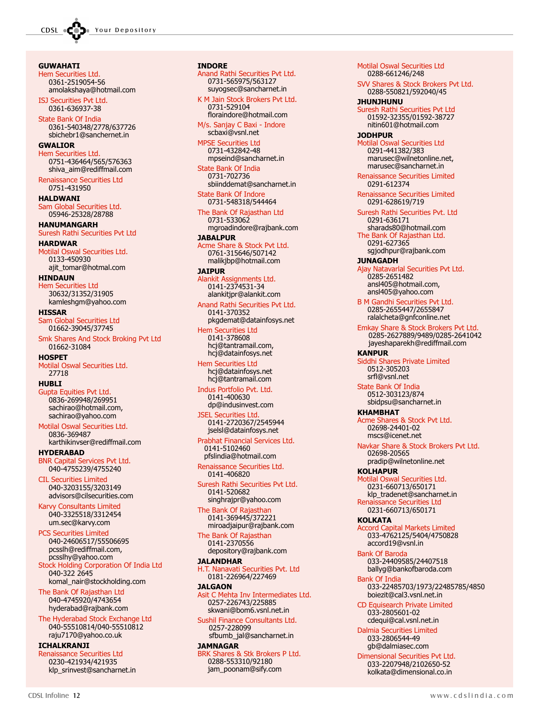**GUWAHATI** Hem Securities Ltd. 0361-2519054-56 amolakshaya@hotmail.com ISJ Securities Pvt Ltd. 0361-636937-38 State Bank Of India 0361-540348/2778/637726 sbichebr1@sanchernet.in GWALIOR Hem Securities Ltd. 0751-436464/565/576363 shiva\_aim@rediffmail.com Renaissance Securities Ltd 0751-431950 HALDWANI Sam Global Securities Ltd. 05946-25328/28788 HANUMANGARH Suresh Rathi Securities Pvt Ltd HARDWAR Motilal Oswal Securities Ltd. 0133-450930 ajit\_tomar@hotmal.com HINDAUN Hem Securities Ltd 30632/31352/31905 kamleshgm@yahoo.com HISSAR Sam Global Securities Ltd 01662-39045/37745 Smk Shares And Stock Broking Pvt Ltd 01662-31084 **HOSPET** Motilal Oswal Securities Ltd. 27718 HUBLI Gupta Equities Pvt Ltd. 0836-269948/269951 sachirao@hotmail.com, sachirao@yahoo.com Motilal Oswal Securities Ltd. 0836-369487 karthikinvser@rediffmail.com HYDERABAD BNR Capital Services Pvt Ltd. 040-4755239/4755240 CIL Securities Limited 040-3203155/3203149 advisors@cilsecurities.com Karvy Consultants Limited 040-3325518/3312454 um.sec@karvy.com PCS Securities Limited 040-24606517/55506695 pcsslh@rediffmail.com, pcsslhy@yahoo.com Stock Holding Corporation Of India Ltd 040-322 2645 komal\_nair@stockholding.com The Bank Of Rajasthan Ltd 040-4745920/4743654 hyderabad@rajbank.com The Hyderabad Stock Exchange Ltd 040-55510814/040-55510812 raju7170@yahoo.co.uk

ICHALKRANJI Renaissance Securities Ltd 0230-421934/421935 klp\_srinvest@sancharnet.in

#### INDORE

Anand Rathi Securities Pvt Ltd. 0731-565975/563127 suyogsec@sancharnet.in K M Jain Stock Brokers Pvt Ltd. 0731-529104 floraindore@hotmail.com

M/s. Sanjay C Baxi - Indore scbaxi@vsnl.net

MPSE Securities Ltd 0731-432842-48 mpseind@sancharnet.in

State Bank Of India 0731-702736 sbiinddemat@sancharnet.in

State Bank Of Indore 0731-548318/544464

The Bank Of Rajasthan Ltd 0731-533062 mgroadindore@rajbank.com

JABALPUR Acme Share & Stock Pvt Ltd. 0761-315646/507142 malikjbp@hotmail.com

JAIPUR Alankit Assignments Ltd. 0141-2374531-34 alankitjpr@alankit.com

Anand Rathi Securities Pvt Ltd. 0141-370352

pkgdemat@datainfosys.net Hem Securities Ltd

0141-378608 hcj@tantramail.com, hcj@datainfosys.net

Hem Securities Ltd hcj@datainfosys.net hcj@tantramail.com

Indus Portfolio Pvt. Ltd. 0141-400630 dp@indusinvest.com

JSEL Securities Ltd. 0141-2720367/2545944 jselsl@datainfosys.net

Prabhat Financial Services Ltd. 0141-5102460 pfslindia@hotmail.com

Renaissance Securities Ltd. 0141-406820

Suresh Rathi Securities Pvt Ltd. 0141-520682 singhrajpr@yahoo.com

The Bank Of Rajasthan 0141-369445/372221 miroadjaipur@rajbank.com

The Bank Of Rajasthan 0141-2370556 depository@rajbank.com

**JALANDHAR** 

H.T. Nanavati Securities Pvt. Ltd 0181-226964/227469

**JALGAON** Asit C Mehta Inv Intermediates Ltd. 0257-226743/225885 skwani@bom6.vsnl.net.in

Sushil Finance Consultants Ltd. 0257-228099 sfbumb\_jal@sancharnet.in

JAMNAGAR BRK Shares & Stk Brokers P Ltd. 0288-553310/92180 jam\_poonam@sify.com

Motilal Oswal Securities Ltd 0288-661246/248 SVV Shares & Stock Brokers Pvt Ltd. 0288-550821/592040/45 JHUNJHUNU Suresh Rathi Securities Pvt Ltd 01592-32355/01592-38727 nitin601@hotmail.com JODHPUR Motilal Oswal Securities Ltd 0291-441382/383 marusec@wilnetonline.net, marusec@sancharnet.in Renaissance Securities Limited 0291-612374 Renaissance Securities Limited 0291-628619/719 Suresh Rathi Securities Pvt. Ltd 0291-636171 sharads80@hotmail.com The Bank Of Rajasthan Ltd. 0291-627365 sgjodhpur@rajbank.com JUNAGADH Ajay Natavarlal Securities Pvt Ltd. 0285-2651482 ansl405@hotmail.com, ansl405@yahoo.com B M Gandhi Securities Pvt Ltd. 0285-2655447/2655847 ralalcheta@gnfconline.net Emkay Share & Stock Brokers Pvt Ltd. 0285-2627889/9489/0285-2641042 jayeshaparekh@rediffmail.com KANPUR es Private Limited 0512-305203 srfl@vsnl.net State Bank Of India 0512-303123/874 sbidpsu@sancharnet.in KHAMBHAT Acme Shares & Stock Pvt Ltd. 02698-24401-02 mscs@icenet.net Navkar Share & Stock Brokers Pvt Ltd. 02698-20565 pradip@wilnetonline.net **KOLHAPUR** Motilal Oswal Securities Ltd. 0231-660713/650171 klp\_tradenet@sancharnet.in ance Securities Ltd 0231-660713/650171 KOLKATA Accord Capital Markets Limited 033-4762125/5404/4750828 accord19@vsnl.in Bank Of Baroda 033-24409585/24407518 ballyg@bankofbaroda.com Bank Of India 033-22485703/1973/22485785/4850 boiezit@cal3.vsnl.net.in CD Equisearch Private Limited 033-2805601-02 cdequi@cal.vsnl.net.in Dalmia Securities Limited 033-2806544-49 gb@dalmiasec.com

Dimensional Securities Pvt Ltd. 033-2207948/2102650-52 kolkata@dimensional.co.in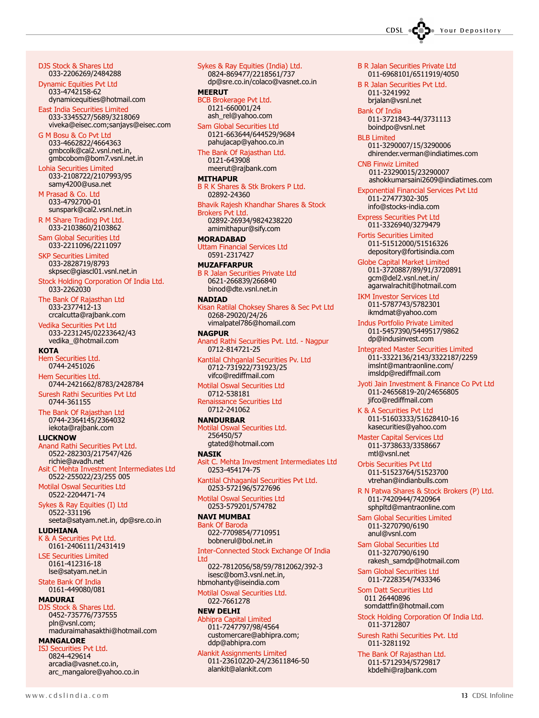DJS Stock & Shares Ltd 033-2206269/2484288

Dynamic Equities Pvt Ltd 033-4742158-62 dynamicequities@hotmail.com

East India Securities Limited 033-3345527/5689/3218069 viveka@eisec.com;sanjays@eisec.com

G M Bosu & Co Pvt Ltd 033-4662822/4664363 gmbcolk@cal2.vsnl.net.in, gmbcobom@bom7.vsnl.net.in

Lohia Securities Limited 033-2108722/2107993/95 samy4200@usa.net

M Prasad & Co. Ltd 033-4792700-01 sunspark@cal2.vsnl.net.in

R M Share Trading Pvt Ltd. 033-2103860/2103862

Sam Global Securities Ltd 033-2211096/2211097

SKP Securities Limited 033-2828719/8793 skpsec@giascl01.vsnl.net.in

Stock Holding Corporation Of India Ltd. 033-2262030

The Bank Of Rajasthan Ltd 033-2377412-13 crcalcutta@rajbank.com

Vedika Securities Pvt Ltd 033-2231245/02233642/43

vedika\_@hotmail.com **KOTA** 

Hem Securities Ltd. 0744-2451026

Hem Securities Ltd. 0744-2421662/8783/2428784

Suresh Rathi Securities Pvt Ltd 0744-361155

The Bank Of Rajasthan Ltd 0744-2364145/2364032 iekota@rajbank.com

LUCKNOW

Anand Rathi Securities Pvt Ltd. 0522-282303/217547/426 richie@avadh.net<br>Asit C Mehta Investm C Mehta Investment Intermediates Ltd 0522-255022/23/255 005

Motilal Oswal Securities Ltd 0522-2204471-74

Sykes & Ray Equities (I) Ltd 0522-331196 seeta@satyam.net.in, dp@sre.co.in

LUDHIANA K & A Securities Pvt Ltd. 0161-2406111/2431419

LSE Securities Limited 0161-412316-18 lse@satyam.net.in

State Bank Of India 0161-449080/081

#### MADURAI

DJS Stock & Shares Ltd. 0452-735776/737555 pln@vsnl.com; maduraimahasakthi@hotmail.com

MANGALORE

ISJ Securities Pvt Ltd. 0824-429614 arcadia@vasnet.co.in, arc\_mangalore@yahoo.co.in Sykes & Ray Equities (India) Ltd. 0824-869477/2218561/737 dp@sre.co.in/colaco@vasnet.co.in

#### **MEERUT**

BCB Brokerage Pvt Ltd. 0121-660001/24 ash\_rel@yahoo.com

Sam Global Securities Ltd 0121-663644/644529/9684 pahujacap@yahoo.co.in

The Bank Of Rajasthan Ltd. 0121-643908 meerut@rajbank.com

#### MITHAPUR

B R K Shares & Stk Brokers P Ltd. 02892-24360

Bhavik Rajesh Khandhar Shares & Stock Brokers Pvt Ltd. 02892-26934/9824238220

amimithapur@sify.com MORADABAD

Uttam Financial Services Ltd 0591-2317427

#### MUZAFFARPUR

B R Jalan Securities Private Ltd 0621-266839/266840 binod@dte.vsnl.net.in

#### **NADIAD**

an Ratilal Choksey Shares & Sec Pvt Ltd 0268-29020/24/26 vimalpatel786@homail.com

**NAGPUR** Anand Rathi Securities Pvt. Ltd. - Nagpur 0712-814721-25

Kantilal Chhganlal Securities Pv. Ltd 0712-731922/731923/25 vifco@rediffmail.com

Motilal Oswal Securities Ltd 0712-538181 Renaissance Securities Ltd

0712-241062 NANDURBAR

Motilal Oswal Securities Ltd. 256450/57 gtated@hotmail.com

**NASTK** Asit C. Mehta Investment Intermediates Ltd 0253-454174-75

Kantilal Chhaganlal Securities Pvt Ltd. 0253-572196/5727696

Motilal Oswal Securities Ltd 0253-579201/574782

#### NAVI MUMBAI

Bank Of Baroda 022-7709854/7710951 bobnerul@bol.net.in Inter-Connected Stock Exchange Of India Ltd 022-7812056/58/59/7812062/392-3

isesc@bom3.vsnl.net.in, hbmohanty@iseindia.com

#### Motilal Oswal Securities Ltd.

022-7661278 NEW DELHI

#### Abhipra Capital Limited 011-7247797/98/4564 customercare@abhipra.com; ddp@abhipra.com

Alankit Assignments Limited 011-23610220-24/23611846-50 alankit@alankit.com

B R Jalan Securities Private Ltd 011-6968101/6511919/4050

B R Jalan Securities Pvt Ltd. 011-3241992 brjalan@vsnl.net

Bank Of India 011-3721843-44/3731113 boindpo@vsnl.net

BLB Limited 011-3290007/15/3290006 dhirender.verman@indiatimes.com

CNB Finwiz Limited 011-23290015/23290007 ashokkumarsaini2609@indiatimes.com

Exponential Financial Services Pvt Ltd 011-27477302-305 info@stocks-india.com

Express Securities Pvt Ltd 011-3326940/3279479

Fortis Securities Limited 011-51512000/51516326 depository@fortisindia.com

Globe Capital Market Limited 011-3720887/89/91/3720891 gcm@del2.vsnl.net.in/ agarwalrachit@hotmail.com

IKM Investor Services Ltd 011-5787743/5782301 ikmdmat@yahoo.com

Indus Portfolio Private Limited 011-5457390/5449517/9862 dp@indusinvest.com

Integrated Master Securities Limited 011-3322136/2143/3322187/2259 imslnt@mantraonline.com/ imsldp@rediffmail.com

Jyoti Jain Investment & Finance Co Pvt Ltd 011-24656819-20/24656805 jifco@rediffmail.com

K & A Securities Pvt Ltd 011-51603333/51628410-16 kasecurities@yahoo.com

Master Capital Services Ltd 011-3738633/3358667 mtl@vsnl.net

Orbis Securities Pvt Ltd 011-51523764/51523700 vtrehan@indianbulls.com

R N Patwa Shares & Stock Brokers (P) Ltd. 011-7420944/7420964 sphpltd@mantraonline.com

Sam Global Securities Limited 011-3270790/6190 anul@vsnl.com

Sam Global Securities Ltd 011-3270790/6190 rakesh\_samdp@hotmail.com

Sam Global Securities Ltd 011-7228354/7433346

Som Datt Securities Ltd 011 26440896 somdattfin@hotmail.com

Stock Holding Corporation Of India Ltd. 011-3712807

Suresh Rathi Securities Pvt. Ltd 011-3281192

The Bank Of Rajasthan Ltd. 011-5712934/5729817 kbdelhi@rajbank.com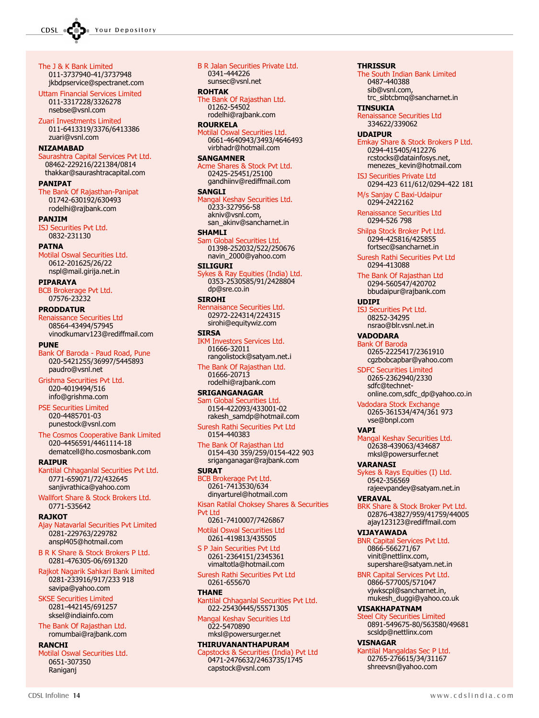The J & K Bank Limited 011-3737940-41/3737948 jkbdpservice@spectranet.com

Uttam Financial Services Limited 011-3317228/3326278 nsebse@vsnl.com

Zuari Investments Limited 011-6413319/3376/6413386 zuari@vsnl.com

#### NIZAMABAD

Saurashtra Capital Services Pvt Ltd. 08462-229216/221384/0814 thakkar@saurashtracapital.com

#### PANIPAT

The Bank Of Rajasthan-Panipat 01742-630192/630493 rodelhi@rajbank.com

PANJIM

ISJ Securities Pvt Ltd. 0832-231130

#### **PATNA**

Motilal Oswal Securities Ltd. 0612-201625/26/22 nspl@mail.girija.net.in

PIPARAYA

BCB Brokerage Pvt Ltd. 07576-23232

#### PRODDATUR

Renaissance Securities Ltd 08564-43494/57945 vinodkumarv123@rediffmail.com

#### PUNE

Bank Of Baroda - Paud Road, Pune 020-5421255/36997/5445893 paudro@vsnl.net

Grishma Securities Pvt Ltd. 020-4019494/516 info@grishma.com

PSE Securities Limited 020-4485701-03 punestock@vsnl.com

The Cosmos Cooperative Bank Limited 020-4456591/4461114-18 dematcell@ho.cosmosbank.com

#### RAIPUR

Kantilal Chhaganlal Securities Pvt Ltd. 0771-659071/72/432645 sanjivrathica@yahoo.com

Wallfort Share & Stock Brokers Ltd. 0771-535642

#### **RAJKOT**

Ajay Natavarlal Securities Pvt Limited 0281-229763/229782 anspl405@hotmail.com

B R K Share & Stock Brokers P Ltd. 0281-476305-06/691320

Rajkot Nagarik Sahkari Bank Limited 0281-233916/917/233 918 savipa@yahoo.com

SKSE Securities Limited 0281-442145/691257 sksel@indiainfo.com

The Bank Of Rajasthan Ltd. romumbai@rajbank.com

#### RANCHI

Motilal Oswal Securities Ltd. 0651-307350 Raniganj

B R Jalan Securities Private Ltd. 0341-444226 sunsec@vsnl.net ROHTAK The Bank Of Rajasthan Ltd. 01262-54502 rodelhi@rajbank.com ROURKELA tilal Oswal Securities Ltd. 0661-4640943/3493/4646493 virbhadr@hotmail.com **SANGAMNER** Acme Shares & Stock Pvt Ltd. 02425-25451/25100 gandhiinv@rediffmail.com **SANGLI** Mangal Keshav Securities Ltd. 0233-327956-58 akniv@vsnl.com, san\_akinv@sancharnet.in SHAMLI Sam Global Securities Ltd. 01398-252032/522/250676 navin\_2000@yahoo.com

#### **SILIGURI**

Sykes & Ray Equities (India) Ltd. 0353-2530585/91/2428804 dp@sre.co.in **STROHT** 

Rennaisance Securities Ltd. 02972-224314/224315 sirohi@equitywiz.com

#### **STRSA**

IKM Investors Services Ltd. 01666-32011 rangolistock@satyam.net.i

The Bank Of Rajasthan Ltd. 01666-20713 rodelhi@rajbank.com

#### SRIGANGANAGAR

m Global Securities Ltd. 0154-422093/433001-02 rakesh\_samdp@hotmail.com

Suresh Rathi Securities Pvt Ltd 0154-440383

The Bank Of Rajasthan Ltd 0154-430 359/259/0154-422 903 sriganganagar@rajbank.com

SURAT

BCB Brokerage Pvt Ltd. 0261-7413530/634 dinyarturel@hotmail.com

Kisan Ratilal Choksey Shares & Securities Pvt Ltd 0261-7410007/7426867

Motilal Oswal Securities Ltd 0261-419813/435505

S P Jain Securities Pvt Ltd 0261-2364151/2345361 vimaltotla@hotmail.com

Suresh Rathi Securities Pvt Ltd 0261-655670

#### THANE

Kantilal Chhaganlal Securities Pvt Ltd. 022-25430445/55571305

Mangal Keshav Securities Ltd 022-5470890 mksl@powersurger.net

#### THIRUVANANTHAPURAM

pstocks & Securities (India) Pvt Ltd 0471-2476632/2463735/1745 capstock@vsnl.com

0487-440388 sib@vsnl.com, trc\_sibtcbmq@sancharnet.in **TINSUKIA** Renaissance Securities Ltd 334622/339062 UDAIPUR Emkay Share & Stock Brokers P Ltd. 0294-415405/412276 rcstocks@datainfosys.net, menezes\_kevin@hotmail.com ISJ Securities Private Ltd 0294-423 611/612/0294-422 181 M/s Sanjay C Baxi-Udaipur 0294-2422162 Renaissance Securities Ltd 0294-526 798 Shilpa Stock Broker Pvt Ltd. 0294-425816/425855 fortsec@sancharnet.in Suresh Rathi Securities Pvt Ltd 0294-413088 The Bank Of Rajasthan Ltd 0294-560547/420702 bbudaipur@rajbank.com UDIPI ISJ Securities Pvt Ltd. 08252-34295 nsrao@blr.vsnl.net.in VADODARA Bank Of Baroda 0265-2225417/2361910 cgzbobcapbar@yahoo.com SDFC Securities Limited 0265-2362940/2330 sdfc@technetonline.com,sdfc\_dp@yahoo.co.in Vadodara Stock Exchange 0265-361534/474/361 973 vse@bnpl.com VAPI Mangal Keshav Securities Ltd. 02638-439063/434687 mksl@powersurfer.net VARANASI kes & Rays Equities (I) Ltd. 0542-356569 rajeevpandey@satyam.net.in VERAVAL BRK Share & Stock Broker Pvt Ltd. 02876-43827/959/41759/44005 ajay123123@rediffmail.com

**THRISSUR** 

The South Indian Bank Limited

VIJAYAWADA

BNR Capital Services Pvt Ltd. 0866-566271/67 vinit@nettlinx.com, supershare@satyam.net.in

BNR Capital Services Pvt Ltd. 0866-577005/571047 vjwkscpl@sancharnet.in, mukesh\_duggi@yahoo.co.uk

#### VISAKHAPATNAM

**Steel City Securities Limited** 0891-549675-80/563580/49681 scsldp@nettlinx.com

#### VISNAGAR

Kantilal Mangaldas Sec P Ltd. 02765-276615/34/31167 shreevsn@yahoo.com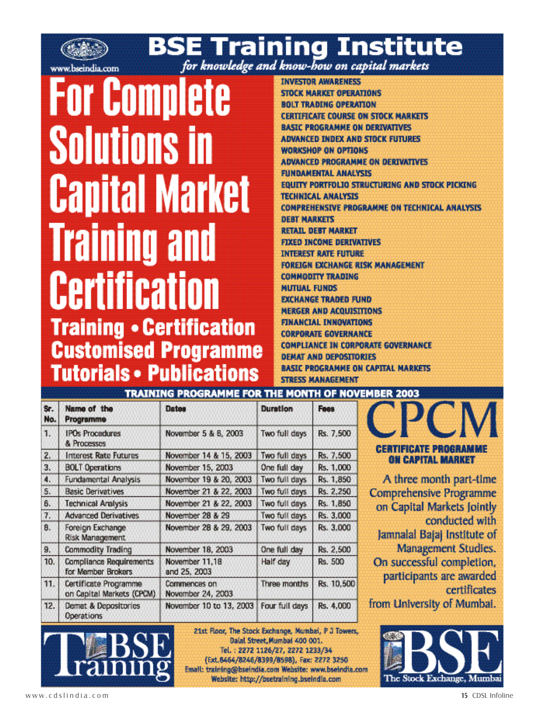

# **BSE Training Institute**

# **For Complete Solutions in Capital Market Training and Certification Training • Certification Customised Programme Tutorials • Publications**

**INVESTOR AWARENESS STOCK MARKET OPERATIONS BOLT TRADING OPERATION CERTIFICATE COURSE ON STOCK MARKETS BASIC PROGRAMME ON DERIVATIVES ADVANCED INDEX AND STOCK FUTURES WORKSHOP ON OPTIONS ADVANCED PROGRAMME ON DERIVATIVES FUNDAMENTAL ANALYSTS EQUITY PORTFOLIO STRUCTURING AND STOCK PICKING TECHNICAL ANALYSIS COMPREHENSIVE PROGRAMME ON TECHNICAL ANALYSIS DEBT MARKETS RETAIL DEBT MARKET FIXED INCOME DERIVATIVES INTEREST RATE FUTURE FOREIGN EXCHANGE RISK MANAGEMENT COMMODITY TRADING MUTUAL FUNDS EXCHANGE TRADED FUND MERGER AND ACOUISITIONS FINANCIAL INNOVATIONS CORPORATE GOVERNANCE COMPLIANCE IN CORPORATE GOVERNANCE DEMAT AND DEPOSITORIES BASIC PROGRAMME ON CAPITAL MARKETS STRESS MANAGEMENT** 

| TRAINING PROGRAMME FOR THE MONTH OF NOVEMB<br>- 11 |                      |                  |  |  |  |  |  |
|----------------------------------------------------|----------------------|------------------|--|--|--|--|--|
| Name of the<br>Programme                           | atas                 | Duration         |  |  |  |  |  |
| <b>IPOs Procedures</b>                             | November 5 & 6, 2003 | days<br>Two full |  |  |  |  |  |

Two full days

One full day

Two full days

Two full days

Two full days

Two full days

Two full days

One full day

Half day

Rs. 7,500

Rs. 1,000

Rs. 1,850 Rs. 2,250

Rs. 1.850

Rs. 3.000

Rs. 3.000

Rs. 2.500

Rs. 10,500

Rs. 4,000

Rs. 500

November 14 & 15, 2003

November 19 & 20, 2003

November 21 & 22, 2003

November 21 & 22, 2003

November 28 & 29, 2003

November 15, 2003

November 28 & 29

November 18, 2003

November 11,18

 $105.28$ 

|  | <b>CERTIFICATE PROGRAMME</b> |  |  |  |  |  |  |  |  |  |  |  |  |  |                                 |  |  |  |  |
|--|------------------------------|--|--|--|--|--|--|--|--|--|--|--|--|--|---------------------------------|--|--|--|--|
|  |                              |  |  |  |  |  |  |  |  |  |  |  |  |  |                                 |  |  |  |  |
|  |                              |  |  |  |  |  |  |  |  |  |  |  |  |  |                                 |  |  |  |  |
|  |                              |  |  |  |  |  |  |  |  |  |  |  |  |  | <b><i>ON CAPITAL MARKET</i></b> |  |  |  |  |

A three month part-time **Comprehensive Programme** on Capital Markets Jointly conducted with Jamnalal Bajaj Institute of Management Studies. On successful completion, participants are awarded certificates from University of Mumbai.



| 11. | <b>ICE MARTIQUE DEUXUES</b><br>Certificate Programme<br>on Capital Markets (CPCM) | ano co, cuus<br>Commences on<br>November 24, 2003                                                              | Three months                                                                              |
|-----|-----------------------------------------------------------------------------------|----------------------------------------------------------------------------------------------------------------|-------------------------------------------------------------------------------------------|
| 12. | <b>Demat &amp; Depositories</b><br><b>Operations</b>                              | November 10 to 13, 2003   Four full days                                                                       |                                                                                           |
|     | training                                                                          | 21st Floor, The Stock Exchange, Mum<br>(Ext.8464/8246/8399/8598), Fax<br>Email: training@bseindia.com Website: | Datal Street, Mumbai 400<br>Tel.: 2272 1126/27, 2272 1<br>Website: http://psetraining.bse |

Stock Exchange, Mumbai, P J Towers, al Street, Mumbai 400 001. 2272 1126/27, 2272 1233/34 8246/8399/8598), Fax: 2272 3250 seindia.com Website: www.bseindia.com http://bsetraining.bseindia.com

Sr.

No.

 $\mathbf{1}$ .

2.

3.

4.

5.

6.

7.

8.

9.

10.

& Processes

**Interest Rate Futures** 

**Fundamental Analysis** 

**BOLT Operations** 

**Basic Derivatives** 

**Technical Analysis** 

Foreign Exchange

**Risk Management** 

**Commodity Trading** 

**Compliance Requirements** 

**Advanced Derivatives**